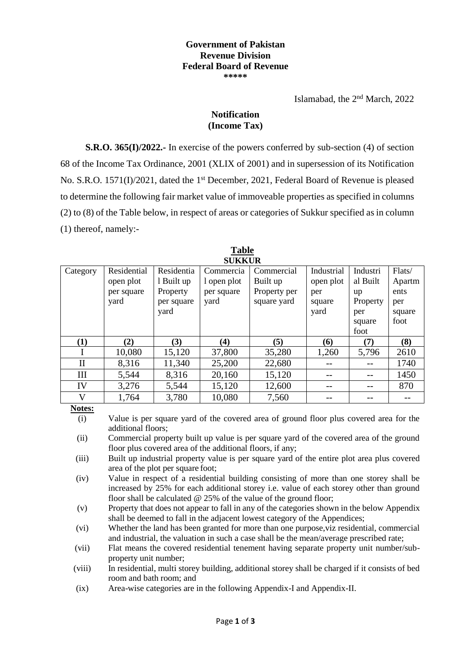#### **Government of Pakistan Revenue Division Federal Board of Revenue \*\*\*\*\***

Islamabad, the 2<sup>nd</sup> March, 2022

### **Notification (Income Tax)**

**S.R.O. 365(I)/2022.-** In exercise of the powers conferred by sub-section (4) of section 68 of the Income Tax Ordinance, 2001 (XLIX of 2001) and in supersession of its Notification No. S.R.O. 1571(I)/2021, dated the 1<sup>st</sup> December, 2021, Federal Board of Revenue is pleased to determine the following fair market value of immoveable properties as specified in columns (2) to (8) of the Table below, in respect of areas or categories of Sukkur specified as in column (1) thereof, namely:-

| SUKKUK       |             |            |             |              |            |          |        |  |  |  |  |
|--------------|-------------|------------|-------------|--------------|------------|----------|--------|--|--|--|--|
| Category     | Residential | Residentia | Commercia   | Commercial   | Industrial | Industri | Flats/ |  |  |  |  |
|              | open plot   | 1 Built up | l open plot | Built up     | open plot  | al Built | Apartm |  |  |  |  |
|              | per square  | Property   | per square  | Property per | per        | up       | ents   |  |  |  |  |
|              | yard        | per square | yard        | square yard  | square     | Property | per    |  |  |  |  |
|              |             | yard       |             |              | yard       | per      | square |  |  |  |  |
|              |             |            |             |              |            | square   | foot   |  |  |  |  |
|              |             |            |             |              |            | foot     |        |  |  |  |  |
| (1)          | (2)         | (3)        | (4)         | (5)          | (6)        | (7)      | (8)    |  |  |  |  |
|              | 10,080      | 15,120     | 37,800      | 35,280       | 1,260      | 5,796    | 2610   |  |  |  |  |
| $\mathbf{I}$ | 8,316       | 11,340     | 25,200      | 22,680       |            |          | 1740   |  |  |  |  |
| Ш            | 5,544       | 8,316      | 20,160      | 15,120       |            |          | 1450   |  |  |  |  |
| IV           | 3,276       | 5,544      | 15,120      | 12,600       |            |          | 870    |  |  |  |  |
| V            | 1,764       | 3,780      | 10,080      | 7,560        |            |          |        |  |  |  |  |

**Table SUKKUR**

**Notes:**

(i) Value is per square yard of the covered area of ground floor plus covered area for the additional floors;

(ii) Commercial property built up value is per square yard of the covered area of the ground floor plus covered area of the additional floors, if any;

(iii) Built up industrial property value is per square yard of the entire plot area plus covered area of the plot per square foot;

(iv) Value in respect of a residential building consisting of more than one storey shall be increased by 25% for each additional storey i.e. value of each storey other than ground floor shall be calculated  $@$  25% of the value of the ground floor;

(v) Property that does not appear to fall in any of the categories shown in the below Appendix shall be deemed to fall in the adjacent lowest category of the Appendices;

- (vi) Whether the land has been granted for more than one purpose,viz residential, commercial and industrial, the valuation in such a case shall be the mean/average prescribed rate;
- (vii) Flat means the covered residential tenement having separate property unit number/subproperty unit number;

(viii) In residential, multi storey building, additional storey shall be charged if it consists of bed room and bath room; and

(ix) Area-wise categories are in the following Appendix-I and Appendix-II.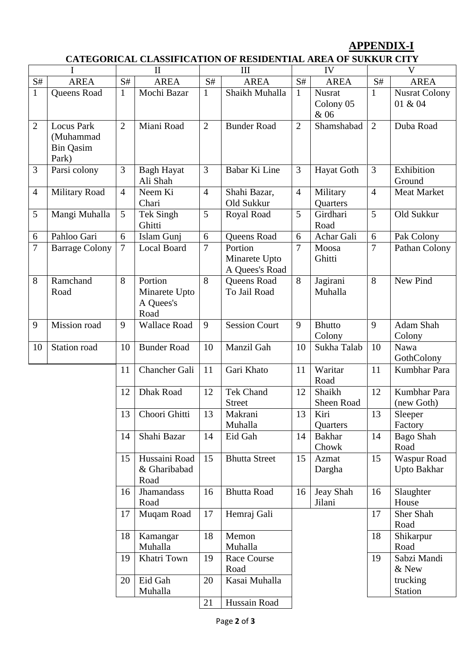## **APPENDIX-I**

# **CATEGORICAL CLASSIFICATION OF RESIDENTIAL AREA OF SUKKUR CITY**

|                 |                                                             | $\mathbf{I}$   |                                               | III            |                                            | IV             |                             | $\overline{\mathsf{V}}$ |                                 |
|-----------------|-------------------------------------------------------------|----------------|-----------------------------------------------|----------------|--------------------------------------------|----------------|-----------------------------|-------------------------|---------------------------------|
| $\mathbf{S} \#$ | <b>AREA</b>                                                 | S#             | <b>AREA</b>                                   | S#             | <b>AREA</b>                                | S#             | <b>AREA</b>                 | S#                      | <b>AREA</b>                     |
| $\mathbf{1}$    | Queens Road                                                 | $\mathbf{1}$   | Mochi Bazar                                   | $\mathbf{1}$   | Shaikh Muhalla                             | $\mathbf{1}$   | Nusrat<br>Colony 05<br>& 06 | $\mathbf{1}$            | <b>Nusrat Colony</b><br>01 & 04 |
| $\overline{2}$  | <b>Locus Park</b><br>(Muhammad<br><b>Bin Qasim</b><br>Park) | $\overline{2}$ | Miani Road                                    | $\overline{2}$ | <b>Bunder Road</b>                         | $\overline{2}$ | Shamshabad                  | $\overline{2}$          | Duba Road                       |
| 3               | Parsi colony                                                | 3              | <b>Bagh Hayat</b><br>Ali Shah                 | 3              | Babar Ki Line                              | 3              | Hayat Goth                  | 3                       | Exhibition<br>Ground            |
| $\overline{4}$  | <b>Military Road</b>                                        | $\overline{4}$ | Neem Ki<br>Chari                              | $\overline{4}$ | Shahi Bazar,<br>Old Sukkur                 | $\overline{4}$ | Military<br>Quarters        | $\overline{4}$          | <b>Meat Market</b>              |
| 5               | Mangi Muhalla                                               | 5              | Tek Singh<br>Ghitti                           | 5              | Royal Road                                 | 5              | Girdhari<br>Road            | 5                       | Old Sukkur                      |
| 6               | Pahloo Gari                                                 | 6              | Islam Gunj                                    | 6              | Queens Road                                | 6              | Achar Gali                  | 6                       | Pak Colony                      |
| 7               | <b>Barrage Colony</b>                                       | $\overline{7}$ | Local Board                                   | $\overline{7}$ | Portion<br>Minarete Upto<br>A Quees's Road | $\overline{7}$ | Moosa<br>Ghitti             | 7                       | Pathan Colony                   |
| 8               | Ramchand<br>Road                                            | 8              | Portion<br>Minarete Upto<br>A Quees's<br>Road | 8              | Queens Road<br>To Jail Road                | 8              | Jagirani<br>Muhalla         | 8                       | New Pind                        |
| 9               | <b>Mission</b> road                                         | 9              | <b>Wallace Road</b>                           | 9              | <b>Session Court</b>                       | 9              | <b>Bhutto</b><br>Colony     | 9                       | Adam Shah<br>Colony             |
| 10              | Station road                                                | 10             | <b>Bunder Road</b>                            | 10             | Manzil Gah                                 | 10             | Sukha Talab                 | 10                      | Nawa<br>GothColony              |
|                 |                                                             | 11             | <b>Chancher Gali</b>                          | 11             | Gari Khato                                 | 11             | Waritar<br>Road             | 11                      | Kumbhar Para                    |
|                 |                                                             | 12             | <b>Dhak Road</b>                              | 12             | <b>Tek Chand</b><br><b>Street</b>          | 12             | Shaikh<br>Sheen Road        | 12                      | Kumbhar Para<br>(new Goth)      |
|                 |                                                             | 13             | Choori Ghitti                                 | 13             | Makrani<br>Muhalla                         | 13             | Kiri<br>Quarters            | 13                      | Sleeper<br>Factory              |
|                 |                                                             | 14             | Shahi Bazar                                   | 14             | Eid Gah                                    | 14             | <b>Bakhar</b><br>Chowk      | 14                      | <b>Bago Shah</b><br>Road        |
|                 |                                                             | 15             | Hussaini Road<br>& Gharibabad<br>Road         | 15             | <b>Bhutta Street</b>                       | 15             | Azmat<br>Dargha             | 15                      | Waspur Road<br>Upto Bakhar      |
|                 |                                                             | 16             | <b>Jhamandass</b><br>Road                     | 16             | <b>Bhutta Road</b>                         | 16             | Jeay Shah<br>Jilani         | 16                      | Slaughter<br>House              |
|                 |                                                             | 17             | Muqam Road                                    | 17             | Hemraj Gali                                |                |                             | 17                      | Sher Shah<br>Road               |
|                 |                                                             | 18             | Kamangar<br>Muhalla                           | 18             | Memon<br>Muhalla                           |                |                             | 18                      | Shikarpur<br>Road               |
|                 |                                                             | 19             | Khatri Town                                   | 19             | Race Course                                |                |                             | 19                      | Sabzi Mandi                     |
|                 |                                                             |                |                                               |                | Road                                       |                |                             |                         | & New                           |
|                 |                                                             | 20             | Eid Gah                                       | 20             | Kasai Muhalla                              |                |                             |                         | trucking                        |
|                 |                                                             |                | Muhalla                                       |                |                                            |                |                             |                         | <b>Station</b>                  |
|                 |                                                             |                |                                               | 21             | Hussain Road                               |                |                             |                         |                                 |